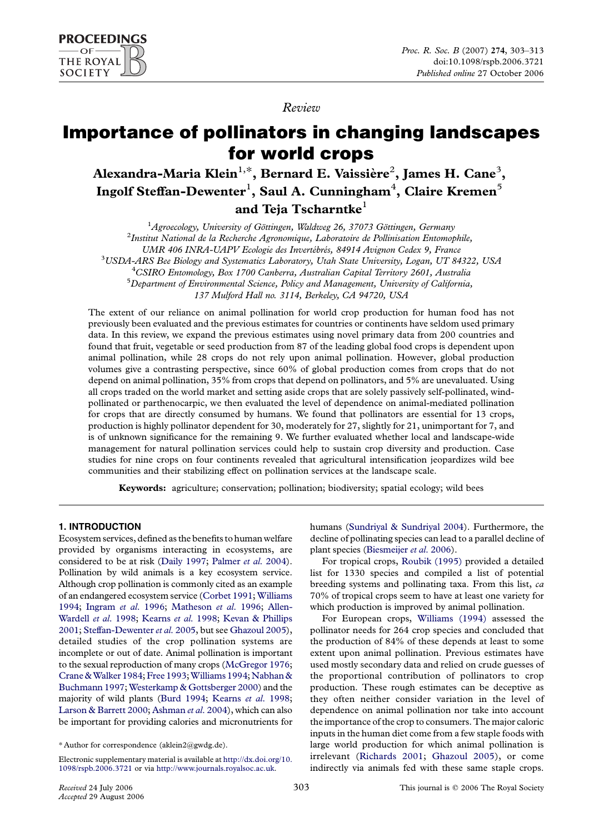

Review

# Importance of pollinators in changing landscapes for world crops

Alexandra-Maria Klein $^{1,*},$  Bernard E. Vaissière $^{2},$  James H. Cane $^{3},$ Ingolf Steffan-Dewenter $^{\rm l}$ , Saul A. Cunningham $^{\rm 4}$ , Claire Kremen $^{\rm 5}$ and Teja Tscharntke $<sup>1</sup>$ </sup>

<sup>1</sup> Agroecology, University of Göttingen, Waldweg 26, 37073 Göttingen, Germany<br><sup>2</sup> Jactitut National de la Becherche Agronomique, Laboratoire de Pollinisation Entomot

<sup>2</sup>Institut National de la Recherche Agronomique, Laboratoire de Pollinisation Entomophile,

UMR 406 INRA-UAPV Ecologie des Invertébrés, 84914 Avignon Cedex 9, France

<sup>3</sup>USDA-ARS Bee Biology and Systematics Laboratory, Utah State University, Logan, UT 84322, USA

<sup>4</sup>CSIRO Entomology, Box 1700 Canberra, Australian Capital Territory 2601, Australia

 $5$ Department of Environmental Science, Policy and Management, University of California,

137 Mulford Hall no. 3114, Berkeley, CA 94720, USA

The extent of our reliance on animal pollination for world crop production for human food has not previously been evaluated and the previous estimates for countries or continents have seldom used primary data. In this review, we expand the previous estimates using novel primary data from 200 countries and found that fruit, vegetable or seed production from 87 of the leading global food crops is dependent upon animal pollination, while 28 crops do not rely upon animal pollination. However, global production volumes give a contrasting perspective, since 60% of global production comes from crops that do not depend on animal pollination, 35% from crops that depend on pollinators, and 5% are unevaluated. Using all crops traded on the world market and setting aside crops that are solely passively self-pollinated, windpollinated or parthenocarpic, we then evaluated the level of dependence on animal-mediated pollination for crops that are directly consumed by humans. We found that pollinators are essential for 13 crops, production is highly pollinator dependent for 30, moderately for 27, slightly for 21, unimportant for 7, and is of unknown significance for the remaining 9. We further evaluated whether local and landscape-wide management for natural pollination services could help to sustain crop diversity and production. Case studies for nine crops on four continents revealed that agricultural intensification jeopardizes wild bee communities and their stabilizing effect on pollination services at the landscape scale.

Keywords: agriculture; conservation; pollination; biodiversity; spatial ecology; wild bees

# 1. INTRODUCTION

Ecosystem services, defined as the benefits to human welfare provided by organisms interacting in ecosystems, are considered to be at risk ([Daily 1997](#page-9-0); [Palmer](#page-10-0) et al. 2004). Pollination by wild animals is a key ecosystem service. Although crop pollination is commonly cited as an example of an endangered ecosystem service ([Corbet 1991](#page-8-0); [Williams](#page-10-0) [1994;](#page-10-0) [Ingram](#page-9-0) et al. 1996; [Matheson](#page-9-0) et al. 1996; [Allen-](#page-8-0)[Wardell](#page-8-0) et al. 1998; [Kearns](#page-9-0) et al. 1998; [Kevan & Phillips](#page-9-0) [2001;](#page-9-0) [Steffan-Dewenter](#page-10-0) et al. 2005, but see [Ghazoul 2005](#page-9-0)), detailed studies of the crop pollination systems are incomplete or out of date. Animal pollination is important to the sexual reproduction of many crops ([McGregor 1976;](#page-9-0) Crane & Walker 1984; [Free 1993;](#page-9-0) Williams 1994; Nabhan & [Buchmann 1997;](#page-9-0) [Westerkamp & Gottsberger 2000\)](#page-10-0) and the majority of wild plants [\(Burd 1994;](#page-8-0) [Kearns](#page-9-0) et al. 1998; [Larson & Barrett 2000](#page-9-0); [Ashman](#page-8-0) et al. 2004), which can also be important for providing calories and micronutrients for

humans [\(Sundriyal & Sundriyal 2004](#page-10-0)). Furthermore, the decline of pollinating species can lead to a parallel decline of plant species [\(Biesmeijer](#page-8-0) et al. 2006).

For tropical crops, [Roubik \(1995\)](#page-10-0) provided a detailed list for 1330 species and compiled a list of potential breeding systems and pollinating taxa. From this list, ca 70% of tropical crops seem to have at least one variety for which production is improved by animal pollination.

For European crops, [Williams \(1994\)](#page-10-0) assessed the pollinator needs for 264 crop species and concluded that the production of 84% of these depends at least to some extent upon animal pollination. Previous estimates have used mostly secondary data and relied on crude guesses of the proportional contribution of pollinators to crop production. These rough estimates can be deceptive as they often neither consider variation in the level of dependence on animal pollination nor take into account the importance of the crop to consumers. The major caloric inputs in the human diet come from a few staple foods with large world production for which animal pollination is irrelevant ([Richards 2001;](#page-10-0) [Ghazoul 2005\)](#page-9-0), or come indirectly via animals fed with these same staple crops.

<sup>\*</sup> Author for correspondence (aklein2@gwdg.de).

Electronic supplementary material is available at [http://dx.doi.org/10.](http://dx.doi.org/10.1098/rspb.2006.3721) [1098/rspb.2006.3721](http://dx.doi.org/10.1098/rspb.2006.3721) or via <http://www.journals.royalsoc.ac.uk>.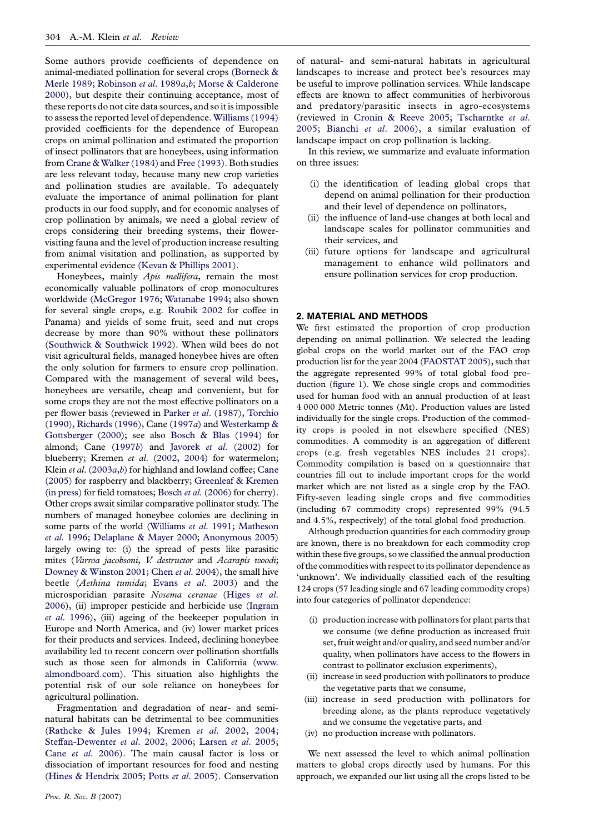Some authors provide coefficients of dependence on animal-mediated pollination for several crops [\(Borneck &](#page-8-0) [Merle 1989](#page-8-0); [Robinson](#page-10-0) et al. 1989a,[b](#page-10-0); [Morse & Calderone](#page-9-0) [2000](#page-9-0)), but despite their continuing acceptance, most of these reports do not cite data sources, and so it is impossible to assess the reported level of dependence. [Williams \(1994\)](#page-10-0) provided coefficients for the dependence of European crops on animal pollination and estimated the proportion of insect pollinators that are honeybees, using information from [Crane & Walker \(1984\)](#page-8-0) and [Free \(1993\)](#page-9-0). Both studies are less relevant today, because many new crop varieties and pollination studies are available. To adequately evaluate the importance of animal pollination for plant products in our food supply, and for economic analyses of crop pollination by animals, we need a global review of crops considering their breeding systems, their flowervisiting fauna and the level of production increase resulting from animal visitation and pollination, as supported by experimental evidence ([Kevan & Phillips 2001\)](#page-9-0).

Honeybees, mainly *Apis mellifera*, remain the most economically valuable pollinators of crop monocultures worldwide [\(McGregor 1976](#page-9-0); [Watanabe 1994;](#page-10-0) also shown for several single crops, e.g. [Roubik 2002](#page-10-0) for coffee in Panama) and yields of some fruit, seed and nut crops decrease by more than 90% without these pollinators ([Southwick & Southwick 1992\)](#page-10-0). When wild bees do not visit agricultural fields, managed honeybee hives are often the only solution for farmers to ensure crop pollination. Compared with the management of several wild bees, honeybees are versatile, cheap and convenient, but for some crops they are not the most effective pollinators on a per flower basis (reviewed in Parker et al[. \(1987\)](#page-10-0), [Torchio](#page-10-0) [\(1990\),](#page-10-0) [Richards \(1996\),](#page-10-0) Cane ([1997](#page-8-0)a) and [Westerkamp &](#page-10-0) [Gottsberger \(2000\);](#page-10-0) see also [Bosch & Blas \(1994\)](#page-8-0) for almond; Cane [\(1997](#page-8-0)b) and Javorek et al[. \(2002\)](#page-9-0) for blueberry; Kremen et al. [\(2002,](#page-9-0) [2004\)](#page-9-0) for watermelon; Klein et al.  $(2003a,b)$  $(2003a,b)$  $(2003a,b)$  $(2003a,b)$  $(2003a,b)$  for highland and lowland coffee; [Cane](#page-8-0) [\(2005\)](#page-8-0) for raspberry and blackberry; [Greenleaf & Kremen](#page-9-0) [\(in press\)](#page-9-0) for field tomatoes; Bosch et al[. \(2006\)](#page-8-0) for cherry). Other crops await similar comparative pollinator study. The numbers of managed honeybee colonies are declining in some parts of the world ([Williams](#page-10-0) et al. 1991; [Matheson](#page-9-0) et al[. 1996](#page-9-0); [Delaplane & Mayer 2000](#page-9-0); [Anonymous 2005\)](#page-8-0) largely owing to: (i) the spread of pests like parasitic mites (Varroa jacobsoni, V. destructor and Acarapis woodi; [Downey & Winston 2001;](#page-9-0) Chen et al[. 2004](#page-8-0)), the small hive beetle (Aethina tumida; Evans et al[. 2003\)](#page-9-0) and the microsporidian parasite Nosema ceranae ([Higes](#page-9-0) et al. [2006\)](#page-9-0), (ii) improper pesticide and herbicide use ([Ingram](#page-9-0) et al[. 1996\)](#page-9-0), (iii) ageing of the beekeeper population in Europe and North America, and (iv) lower market prices for their products and services. Indeed, declining honeybee availability led to recent concern over pollination shortfalls such as those seen for almonds in California ([www.](http://www.almondboard.com) [almondboard.com](http://www.almondboard.com)). This situation also highlights the potential risk of our sole reliance on honeybees for agricultural pollination.

Fragmentation and degradation of near- and seminatural habitats can be detrimental to bee communities ([Rathcke & Jules 1994](#page-10-0); [Kremen](#page-9-0) et al. 2002, [2004;](#page-9-0) [Steffan-Dewenter](#page-10-0) et al. 2002, [2006;](#page-10-0) [Larsen](#page-9-0) et al. 2005; Cane et al[. 2006](#page-8-0)). The main causal factor is loss or dissociation of important resources for food and nesting ([Hines & Hendrix 2005](#page-9-0); Potts et al[. 2005\)](#page-10-0). Conservation

of natural- and semi-natural habitats in agricultural landscapes to increase and protect bee's resources may be useful to improve pollination services. While landscape effects are known to affect communities of herbivorous and predatory/parasitic insects in agro-ecosystems (reviewed in [Cronin & Reeve 2005](#page-8-0); [Tscharntke](#page-10-0) et al. [2005;](#page-10-0) [Bianchi](#page-8-0) et al. 2006), a similar evaluation of landscape impact on crop pollination is lacking.

In this review, we summarize and evaluate information on three issues:

- (i) the identification of leading global crops that depend on animal pollination for their production and their level of dependence on pollinators,
- (ii) the influence of land-use changes at both local and landscape scales for pollinator communities and their services, and
- (iii) future options for landscape and agricultural management to enhance wild pollinators and ensure pollination services for crop production.

## 2. MATERIAL AND METHODS

We first estimated the proportion of crop production depending on animal pollination. We selected the leading global crops on the world market out of the FAO crop production list for the year 2004 ([FAOSTAT 2005\)](#page-9-0), such that the aggregate represented 99% of total global food production [\(figure 1\)](#page-2-0). We chose single crops and commodities used for human food with an annual production of at least 4 000 000 Metric tonnes (Mt). Production values are listed individually for the single crops. Production of the commodity crops is pooled in not elsewhere specified (NES) commodities. A commodity is an aggregation of different crops (e.g. fresh vegetables NES includes 21 crops). Commodity compilation is based on a questionnaire that countries fill out to include important crops for the world market which are not listed as a single crop by the FAO. Fifty-seven leading single crops and five commodities (including 67 commodity crops) represented 99% (94.5 and 4.5%, respectively) of the total global food production.

Although production quantities for each commodity group are known, there is no breakdown for each commodity crop within these five groups, so we classified the annual production of the commodities with respect to its pollinator dependence as 'unknown'. We individually classified each of the resulting 124 crops (57 leading single and 67 leading commodity crops) into four categories of pollinator dependence:

- (i) production increase with pollinators for plant parts that we consume (we define production as increased fruit set, fruit weight and/or quality, and seed number and/or quality, when pollinators have access to the flowers in contrast to pollinator exclusion experiments),
- (ii) increase in seed production with pollinators to produce the vegetative parts that we consume,
- (iii) increase in seed production with pollinators for breeding alone, as the plants reproduce vegetatively and we consume the vegetative parts, and
- (iv) no production increase with pollinators.

We next assessed the level to which animal pollination matters to global crops directly used by humans. For this approach, we expanded our list using all the crops listed to be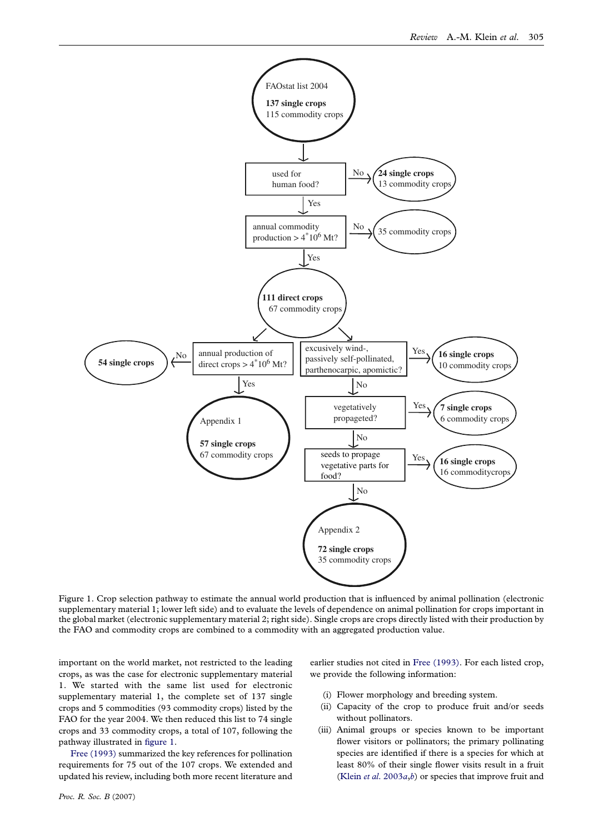<span id="page-2-0"></span>

Figure 1. Crop selection pathway to estimate the annual world production that is influenced by animal pollination (electronic supplementary material 1; lower left side) and to evaluate the levels of dependence on animal pollination for crops important in the global market (electronic supplementary material 2; right side). Single crops are crops directly listed with their production by the FAO and commodity crops are combined to a commodity with an aggregated production value.

important on the world market, not restricted to the leading crops, as was the case for electronic supplementary material 1. We started with the same list used for electronic supplementary material 1, the complete set of 137 single crops and 5 commodities (93 commodity crops) listed by the FAO for the year 2004. We then reduced this list to 74 single crops and 33 commodity crops, a total of 107, following the pathway illustrated in figure 1.

[Free \(1993\)](#page-9-0) summarized the key references for pollination requirements for 75 out of the 107 crops. We extended and updated his review, including both more recent literature and earlier studies not cited in [Free \(1993\)](#page-9-0). For each listed crop, we provide the following information:

- (i) Flower morphology and breeding system.
- (ii) Capacity of the crop to produce fruit and/or seeds without pollinators.
- (iii) Animal groups or species known to be important flower visitors or pollinators; the primary pollinating species are identified if there is a species for which at least 80% of their single flower visits result in a fruit (Klein et al.  $2003a,b$  $2003a,b$ ) or species that improve fruit and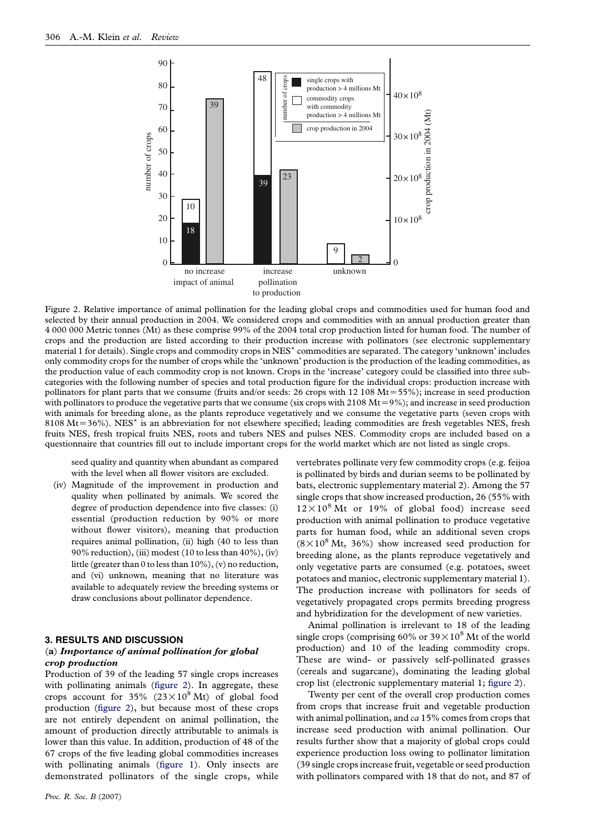<span id="page-3-0"></span>

Figure 2. Relative importance of animal pollination for the leading global crops and commodities used for human food and selected by their annual production in 2004. We considered crops and commodities with an annual production greater than 4 000 000 Metric tonnes (Mt) as these comprise 99% of the 2004 total crop production listed for human food. The number of crops and the production are listed according to their production increase with pollinators (see electronic supplementary material 1 for details). Single crops and commodity crops in NES<sup>\*</sup> commodities are separated. The category 'unknown' includes only commodity crops for the number of crops while the 'unknown' production is the production of the leading commodities, as the production value of each commodity crop is not known. Crops in the 'increase' category could be classified into three subcategories with the following number of species and total production figure for the individual crops: production increase with pollinators for plant parts that we consume (fruits and/or seeds: 26 crops with  $12\,108\,\mathrm{Mt} = 55\%$ ); increase in seed production with pollinators to produce the vegetative parts that we consume (six crops with  $2108 \text{ Mt} = 9\%$ ); and increase in seed production with animals for breeding alone, as the plants reproduce vegetatively and we consume the vegetative parts (seven crops with  $8108 \text{ Mt} = 36\%$ ). NES<sup>\*</sup> is an abbreviation for not elsewhere specified; leading commodities are fresh vegetables NES, fresh fruits NES, fresh tropical fruits NES, roots and tubers NES and pulses NES. Commodity crops are included based on a questionnaire that countries fill out to include important crops for the world market which are not listed as single crops.

seed quality and quantity when abundant as compared with the level when all flower visitors are excluded.

(iv) Magnitude of the improvement in production and quality when pollinated by animals. We scored the degree of production dependence into five classes: (i) essential (production reduction by 90% or more without flower visitors), meaning that production requires animal pollination, (ii) high (40 to less than 90% reduction), (iii) modest (10 to less than  $40\%$ ), (iv) little (greater than 0 to less than 10%), (v) no reduction, and (vi) unknown, meaning that no literature was available to adequately review the breeding systems or draw conclusions about pollinator dependence.

### 3. RESULTS AND DISCUSSION

## (a) Importance of animal pollination for global crop production

Production of 39 of the leading 57 single crops increases with pollinating animals (figure 2). In aggregate, these crops account for 35% ( $23 \times 10^8$  Mt) of global food production (figure 2), but because most of these crops are not entirely dependent on animal pollination, the amount of production directly attributable to animals is lower than this value. In addition, production of 48 of the 67 crops of the five leading global commodities increases with pollinating animals [\(figure 1](#page-2-0)). Only insects are demonstrated pollinators of the single crops, while

Proc. R. Soc. B (2007)

vertebrates pollinate very few commodity crops (e.g. feijoa is pollinated by birds and durian seems to be pollinated by bats, electronic supplementary material 2). Among the 57 single crops that show increased production, 26 (55% with  $12 \times 10^8$  Mt or 19% of global food) increase seed production with animal pollination to produce vegetative parts for human food, while an additional seven crops  $(8 \times 10^8 \text{ Mt}, 36\%)$  show increased seed production for breeding alone, as the plants reproduce vegetatively and only vegetative parts are consumed (e.g. potatoes, sweet potatoes and manioc, electronic supplementary material 1). The production increase with pollinators for seeds of vegetatively propagated crops permits breeding progress and hybridization for the development of new varieties.

Animal pollination is irrelevant to 18 of the leading single crops (comprising 60% or  $39 \times 10^8$  Mt of the world production) and 10 of the leading commodity crops. These are wind- or passively self-pollinated grasses (cereals and sugarcane), dominating the leading global crop list (electronic supplementary material 1; figure 2).

Twenty per cent of the overall crop production comes from crops that increase fruit and vegetable production with animal pollination, and  $ca$  15% comes from crops that increase seed production with animal pollination. Our results further show that a majority of global crops could experience production loss owing to pollinator limitation (39 single crops increase fruit, vegetable or seed production with pollinators compared with 18 that do not, and 87 of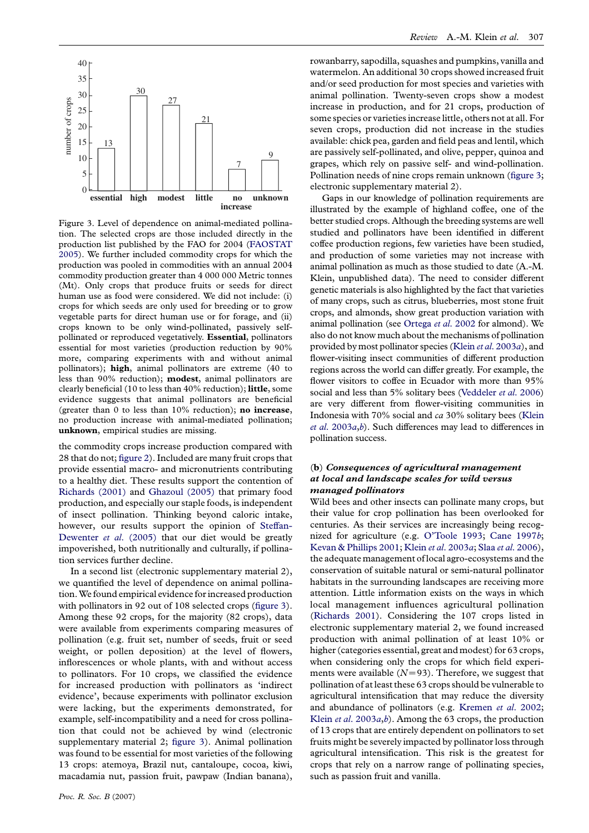

Figure 3. Level of dependence on animal-mediated pollination. The selected crops are those included directly in the production list published by the FAO for 2004 [\(FAOSTAT](#page-9-0) [2005](#page-9-0)). We further included commodity crops for which the production was pooled in commodities with an annual 2004 commodity production greater than 4 000 000 Metric tonnes (Mt). Only crops that produce fruits or seeds for direct human use as food were considered. We did not include: (i) crops for which seeds are only used for breeding or to grow vegetable parts for direct human use or for forage, and (ii) crops known to be only wind-pollinated, passively selfpollinated or reproduced vegetatively. Essential, pollinators essential for most varieties (production reduction by 90% more, comparing experiments with and without animal pollinators); high, animal pollinators are extreme (40 to less than 90% reduction); modest, animal pollinators are clearly beneficial (10 to less than 40% reduction); little, some evidence suggests that animal pollinators are beneficial (greater than  $0$  to less than  $10\%$  reduction); no increase, no production increase with animal-mediated pollination; unknown, empirical studies are missing.

the commodity crops increase production compared with 28 that do not; [figure 2](#page-3-0)). Included are many fruit crops that provide essential macro- and micronutrients contributing to a healthy diet. These results support the contention of [Richards \(2001\)](#page-10-0) and [Ghazoul \(2005\)](#page-9-0) that primary food production, and especially our staple foods, is independent of insect pollination. Thinking beyond caloric intake, however, our results support the opinion of [Steffan-](#page-10-0)[Dewenter](#page-10-0) *et al.* (2005) that our diet would be greatly impoverished, both nutritionally and culturally, if pollination services further decline.

In a second list (electronic supplementary material 2), we quantified the level of dependence on animal pollination. We found empirical evidence for increased production with pollinators in 92 out of 108 selected crops (figure 3). Among these 92 crops, for the majority (82 crops), data were available from experiments comparing measures of pollination (e.g. fruit set, number of seeds, fruit or seed weight, or pollen deposition) at the level of flowers, inflorescences or whole plants, with and without access to pollinators. For 10 crops, we classified the evidence for increased production with pollinators as 'indirect evidence', because experiments with pollinator exclusion were lacking, but the experiments demonstrated, for example, self-incompatibility and a need for cross pollination that could not be achieved by wind (electronic supplementary material 2; figure 3). Animal pollination was found to be essential for most varieties of the following 13 crops: atemoya, Brazil nut, cantaloupe, cocoa, kiwi, macadamia nut, passion fruit, pawpaw (Indian banana),

rowanbarry, sapodilla, squashes and pumpkins, vanilla and watermelon. An additional 30 crops showed increased fruit and/or seed production for most species and varieties with animal pollination. Twenty-seven crops show a modest increase in production, and for 21 crops, production of some species or varieties increase little, others not at all. For seven crops, production did not increase in the studies available: chick pea, garden and field peas and lentil, which are passively self-pollinated, and olive, pepper, quinoa and grapes, which rely on passive self- and wind-pollination. Pollination needs of nine crops remain unknown (figure 3; electronic supplementary material 2).

Gaps in our knowledge of pollination requirements are illustrated by the example of highland coffee, one of the better studied crops. Although the breeding systems are well studied and pollinators have been identified in different coffee production regions, few varieties have been studied, and production of some varieties may not increase with animal pollination as much as those studied to date (A.-M. Klein, unpublished data). The need to consider different genetic materials is also highlighted by the fact that varieties of many crops, such as citrus, blueberries, most stone fruit crops, and almonds, show great production variation with animal pollination (see [Ortega](#page-9-0) et al. 2002 for almond). We also do not know much about the mechanisms of pollination provided by most pollinator species (Klein et al[. 2003](#page-9-0)a), and flower-visiting insect communities of different production regions across the world can differ greatly. For example, the flower visitors to coffee in Ecuador with more than 95% social and less than 5% solitary bees [\(Veddeler](#page-10-0) et al. 2006) are very different from flower-visiting communities in Indonesia with 70% social and ca 30% solitary bees [\(Klein](#page-9-0) et al[. 2003](#page-9-0)a,[b](#page-9-0)). Such differences may lead to differences in pollination success.

# (b) Consequences of agricultural management at local and landscape scales for wild versus managed pollinators

Wild bees and other insects can pollinate many crops, but their value for crop pollination has been overlooked for centuries. As their services are increasingly being recognized for agriculture (e.g. [O'Toole 1993;](#page-10-0) [Cane 1997](#page-8-0)b; [Kevan & Phillips 2001;](#page-9-0) Klein et al[. 2003](#page-9-0)a; Slaa et al[. 2006](#page-10-0)), the adequate management of local agro-ecosystems and the conservation of suitable natural or semi-natural pollinator habitats in the surrounding landscapes are receiving more attention. Little information exists on the ways in which local management influences agricultural pollination ([Richards 2001\)](#page-10-0). Considering the 107 crops listed in electronic supplementary material 2, we found increased production with animal pollination of at least 10% or higher (categories essential, great and modest) for 63 crops, when considering only the crops for which field experiments were available  $(N=93)$ . Therefore, we suggest that pollination of at least these 63 crops should be vulnerable to agricultural intensification that may reduce the diversity and abundance of pollinators (e.g. [Kremen](#page-9-0) et al. 2002; Klein *et al.* 2003 $a$ , $b$ ). Among the 63 crops, the production of 13 crops that are entirely dependent on pollinators to set fruits might be severely impacted by pollinator loss through agricultural intensification. This risk is the greatest for crops that rely on a narrow range of pollinating species, such as passion fruit and vanilla.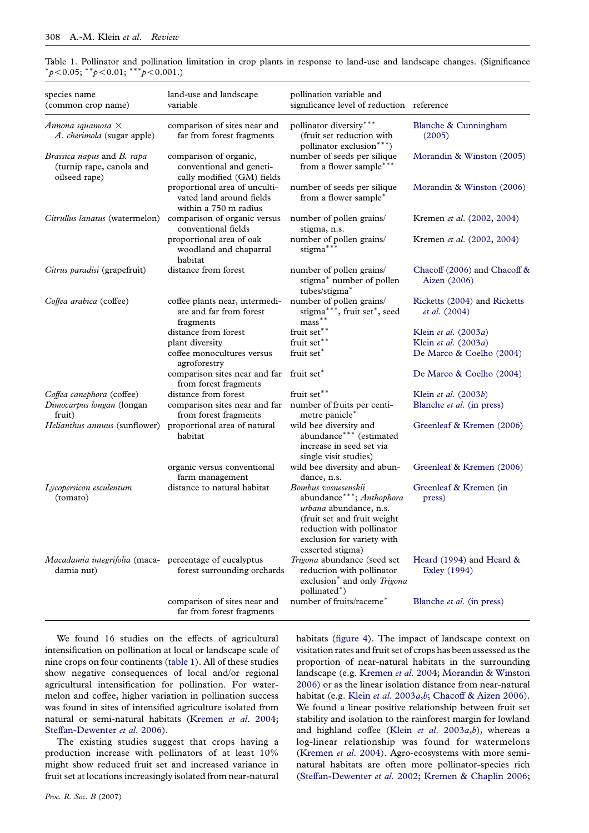| species name<br>(common crop name)                                      | land-use and landscape<br>variable                                                 | pollination variable and<br>significance level of reduction reference                                                                                                                   |                                               |
|-------------------------------------------------------------------------|------------------------------------------------------------------------------------|-----------------------------------------------------------------------------------------------------------------------------------------------------------------------------------------|-----------------------------------------------|
| Annona squamosa $\times$<br>A. cherimola (sugar apple)                  | comparison of sites near and<br>far from forest fragments                          | pollinator diversity***<br>(fruit set reduction with<br>pollinator exclusion***)                                                                                                        | Blanche & Cunningham<br>(2005)                |
| Brassica napus and B. rapa<br>(turnip rape, canola and<br>oilseed rape) | comparison of organic,<br>conventional and geneti-<br>cally modified (GM) fields   | number of seeds per silique<br>from a flower sample***                                                                                                                                  | Morandin & Winston (2005)                     |
|                                                                         | proportional area of unculti-<br>vated land around fields<br>within a 750 m radius | number of seeds per silique<br>from a flower sample*                                                                                                                                    | Morandin & Winston (2006)                     |
| Citrullus lanatus (watermelon)                                          | comparison of organic versus<br>conventional fields                                | number of pollen grains/<br>stigma, n.s.                                                                                                                                                | Kremen et al. (2002, 2004)                    |
|                                                                         | proportional area of oak<br>woodland and chaparral<br>habitat                      | number of pollen grains/<br>stigma***                                                                                                                                                   | Kremen et al. (2002, 2004)                    |
| Citrus paradisi (grapefruit)                                            | distance from forest                                                               | number of pollen grains/<br>stigma* number of pollen<br>tubes/stigma*                                                                                                                   | Chacoff (2006) and Chacoff &<br>Aizen (2006)  |
| Coffea arabica (coffee)                                                 | coffee plants near, intermedi-<br>ate and far from forest<br>fragments             | number of pollen grains/<br>stigma***, fruit set*, seed<br>$mass***$                                                                                                                    | Ricketts (2004) and Ricketts<br>et al. (2004) |
|                                                                         | distance from forest                                                               | fruit set**                                                                                                                                                                             | Klein et al. (2003a)                          |
|                                                                         | plant diversity                                                                    | fruit set**                                                                                                                                                                             | Klein et al. (2003a)                          |
|                                                                         | coffee monocultures versus<br>agroforestry                                         | fruit set*                                                                                                                                                                              | De Marco & Coelho (2004)                      |
|                                                                         | comparison sites near and far<br>from forest fragments                             | fruit set*                                                                                                                                                                              | De Marco & Coelho (2004)                      |
| Coffea canephora (coffee)                                               | distance from forest                                                               | fruit set**                                                                                                                                                                             | Klein et al. (2003b)                          |
| Dimocarpus longan (longan<br>fruit)                                     | comparison sites near and far<br>from forest fragments                             | number of fruits per centi-<br>metre panicle*                                                                                                                                           | Blanche et al. (in press)                     |
| Helianthus annuus (sunflower)                                           | proportional area of natural<br>habitat                                            | wild bee diversity and<br>abundance*** (estimated<br>increase in seed set via<br>single visit studies)                                                                                  | Greenleaf & Kremen (2006)                     |
|                                                                         | organic versus conventional<br>farm management                                     | wild bee diversity and abun-<br>dance, n.s.                                                                                                                                             | Greenleaf & Kremen (2006)                     |
| Lycopersicon esculentum<br>(tomato)                                     | distance to natural habitat                                                        | Bombus vosnesenskii<br>abundance***; Anthophora<br>urbana abundance, n.s.<br>(fruit set and fruit weight<br>reduction with pollinator<br>exclusion for variety with<br>exserted stigma) | Greenleaf & Kremen (in<br>press)              |
| Macadamia integrifolia (maca- percentage of eucalyptus<br>damia nut)    | forest surrounding orchards                                                        | Trigona abundance (seed set<br>reduction with pollinator<br>exclusion* and only Trigona<br>pollinated*)                                                                                 | Heard (1994) and Heard $\&$<br>Exley (1994)   |
|                                                                         | comparison of sites near and<br>far from forest fragments                          | number of fruits/raceme*                                                                                                                                                                | Blanche et al. (in press)                     |

<span id="page-5-0"></span>Table 1. Pollinator and pollination limitation in crop plants in response to land-use and landscape changes. (Significance  $^{*}p<0.05;$   $^{*}p<0.01;$   $^{*}p<0.001.$ 

We found 16 studies on the effects of agricultural intensification on pollination at local or landscape scale of nine crops on four continents (table 1). All of these studies show negative consequences of local and/or regional agricultural intensification for pollination. For watermelon and coffee, higher variation in pollination success was found in sites of intensified agriculture isolated from natural or semi-natural habitats ([Kremen](#page-9-0) et al. 2004; [Steffan-Dewenter](#page-10-0) et al. 2006).

The existing studies suggest that crops having a production increase with pollinators of at least 10% might show reduced fruit set and increased variance in fruit set at locations increasingly isolated from near-natural

habitats [\(figure 4\)](#page-6-0). The impact of landscape context on visitation rates and fruit set of crops has been assessed as the proportion of near-natural habitats in the surrounding landscape (e.g. [Kremen](#page-9-0) et al. 2004; [Morandin & Winston](#page-9-0) [2006](#page-9-0)) or as the linear isolation distance from near-natural habitat (e.g. Klein et al[. 2003](#page-9-0)a,[b](#page-9-0); [Chacoff & Aizen 2006](#page-8-0)). We found a linear positive relationship between fruit set stability and isolation to the rainforest margin for lowland and highland coffee (Klein et al.  $2003a,b$  $2003a,b$ ), whereas a log-linear relationship was found for watermelons [\(Kremen](#page-9-0) et al. 2004). Agro-ecosystems with more seminatural habitats are often more pollinator-species rich [\(Steffan-Dewenter](#page-10-0) et al. 2002; [Kremen & Chaplin 2006;](#page-9-0)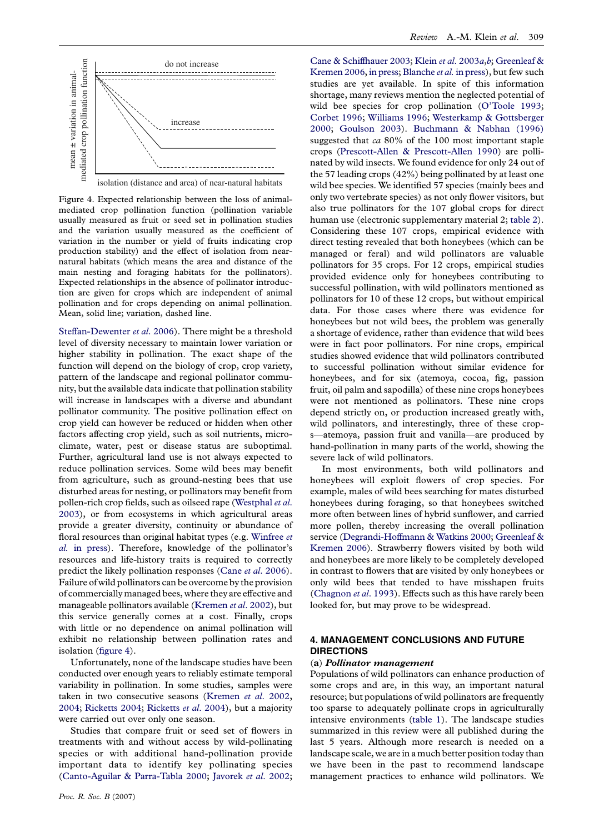<span id="page-6-0"></span>

Figure 4. Expected relationship between the loss of animalmediated crop pollination function (pollination variable usually measured as fruit or seed set in pollination studies and the variation usually measured as the coefficient of variation in the number or yield of fruits indicating crop production stability) and the effect of isolation from nearnatural habitats (which means the area and distance of the main nesting and foraging habitats for the pollinators). Expected relationships in the absence of pollinator introduction are given for crops which are independent of animal pollination and for crops depending on animal pollination. Mean, solid line; variation, dashed line.

[Steffan-Dewenter](#page-10-0) et al. 2006). There might be a threshold level of diversity necessary to maintain lower variation or higher stability in pollination. The exact shape of the function will depend on the biology of crop, crop variety, pattern of the landscape and regional pollinator community, but the available data indicate that pollination stability will increase in landscapes with a diverse and abundant pollinator community. The positive pollination effect on crop yield can however be reduced or hidden when other factors affecting crop yield, such as soil nutrients, microclimate, water, pest or disease status are suboptimal. Further, agricultural land use is not always expected to reduce pollination services. Some wild bees may benefit from agriculture, such as ground-nesting bees that use disturbed areas for nesting, or pollinators may benefit from pollen-rich crop fields, such as oilseed rape ([Westphal](#page-10-0) et al. [2003](#page-10-0)), or from ecosystems in which agricultural areas provide a greater diversity, continuity or abundance of floral resources than original habitat types (e.g. [Winfree](#page-10-0) et al. [in press\)](#page-10-0). Therefore, knowledge of the pollinator's resources and life-history traits is required to correctly predict the likely pollination responses (Cane et al[. 2006\)](#page-8-0). Failure of wild pollinators can be overcome by the provision of commercially managed bees, where they are effective and manageable pollinators available [\(Kremen](#page-9-0) et al. 2002), but this service generally comes at a cost. Finally, crops with little or no dependence on animal pollination will exhibit no relationship between pollination rates and isolation (figure 4).

Unfortunately, none of the landscape studies have been conducted over enough years to reliably estimate temporal variability in pollination. In some studies, samples were taken in two consecutive seasons ([Kremen](#page-9-0) et al. 2002, [2004](#page-9-0); [Ricketts 2004;](#page-10-0) [Ricketts](#page-10-0) et al. 2004), but a majority were carried out over only one season.

Studies that compare fruit or seed set of flowers in treatments with and without access by wild-pollinating species or with additional hand-pollination provide important data to identify key pollinating species ([Canto-Aguilar & Parra-Tabla 2000;](#page-8-0) [Javorek](#page-9-0) et al. 2002;

[Cane & Schiffhauer 2003](#page-8-0); Klein et al[. 2003](#page-9-0)a,[b](#page-9-0); [Greenleaf &](#page-9-0) [Kremen 2006,](#page-9-0) [in press;](#page-9-0) [Blanche](#page-8-0) *et al.* in press), but few such studies are yet available. In spite of this information shortage, many reviews mention the neglected potential of wild bee species for crop pollination [\(O'Toole 1993;](#page-10-0) [Corbet 1996](#page-8-0); [Williams 1996](#page-10-0); [Westerkamp & Gottsberger](#page-10-0) [2000](#page-10-0); [Goulson 2003](#page-9-0)). [Buchmann & Nabhan \(1996\)](#page-8-0) suggested that ca 80% of the 100 most important staple crops ([Prescott-Allen & Prescott-Allen 1990\)](#page-10-0) are pollinated by wild insects. We found evidence for only 24 out of the 57 leading crops (42%) being pollinated by at least one wild bee species. We identified 57 species (mainly bees and only two vertebrate species) as not only flower visitors, but also true pollinators for the 107 global crops for direct human use (electronic supplementary material 2; [table 2](#page-7-0)). Considering these 107 crops, empirical evidence with direct testing revealed that both honeybees (which can be managed or feral) and wild pollinators are valuable pollinators for 35 crops. For 12 crops, empirical studies provided evidence only for honeybees contributing to successful pollination, with wild pollinators mentioned as pollinators for 10 of these 12 crops, but without empirical data. For those cases where there was evidence for honeybees but not wild bees, the problem was generally a shortage of evidence, rather than evidence that wild bees were in fact poor pollinators. For nine crops, empirical studies showed evidence that wild pollinators contributed to successful pollination without similar evidence for honeybees, and for six (atemoya, cocoa, fig, passion fruit, oil palm and sapodilla) of these nine crops honeybees were not mentioned as pollinators. These nine crops depend strictly on, or production increased greatly with, wild pollinators, and interestingly, three of these crops—atemoya, passion fruit and vanilla—are produced by hand-pollination in many parts of the world, showing the severe lack of wild pollinators.

In most environments, both wild pollinators and honeybees will exploit flowers of crop species. For example, males of wild bees searching for mates disturbed honeybees during foraging, so that honeybees switched more often between lines of hybrid sunflower, and carried more pollen, thereby increasing the overall pollination service ([Degrandi-Hoffmann & Watkins 2000;](#page-9-0) [Greenleaf &](#page-9-0) [Kremen 2006\)](#page-9-0). Strawberry flowers visited by both wild and honeybees are more likely to be completely developed in contrast to flowers that are visited by only honeybees or only wild bees that tended to have misshapen fruits ([Chagnon](#page-8-0) et al. 1993). Effects such as this have rarely been looked for, but may prove to be widespread.

# 4. MANAGEMENT CONCLUSIONS AND FUTURE DIRECTIONS

### (a) Pollinator management

Populations of wild pollinators can enhance production of some crops and are, in this way, an important natural resource; but populations of wild pollinators are frequently too sparse to adequately pollinate crops in agriculturally intensive environments ([table 1\)](#page-5-0). The landscape studies summarized in this review were all published during the last 5 years. Although more research is needed on a landscape scale, we are in a much better position today than we have been in the past to recommend landscape management practices to enhance wild pollinators. We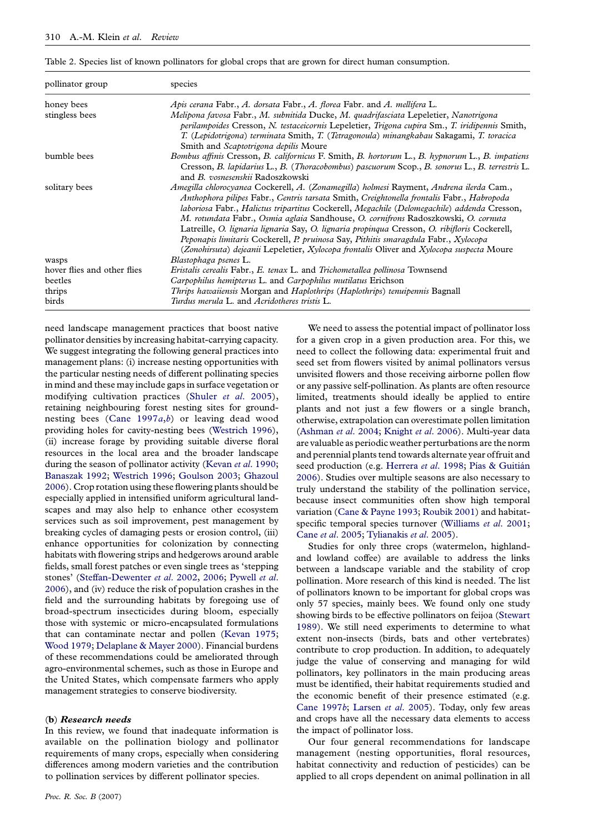<span id="page-7-0"></span>Table 2. Species list of known pollinators for global crops that are grown for direct human consumption.

| pollinator group            | species                                                                                                                                                                                                                                                                                                                                                                                                                                                                                                                                                                                                                                                      |  |  |
|-----------------------------|--------------------------------------------------------------------------------------------------------------------------------------------------------------------------------------------------------------------------------------------------------------------------------------------------------------------------------------------------------------------------------------------------------------------------------------------------------------------------------------------------------------------------------------------------------------------------------------------------------------------------------------------------------------|--|--|
| honey bees                  | Apis cerana Fabr., A. dorsata Fabr., A. florea Fabr. and A. mellifera L.                                                                                                                                                                                                                                                                                                                                                                                                                                                                                                                                                                                     |  |  |
| stingless bees              | Melipona favosa Fabr., M. subnitida Ducke, M. quadrifasciata Lepeletier, Nanotrigona<br>perilampoides Cresson, N. testaceicornis Lepeletier, Trigona cupira Sm., T. iridipennis Smith,<br>T. (Lepidotrigona) terminata Smith, T. (Tetragonoula) minangkabau Sakagami, T. toracica<br>Smith and Scaptotrigona depilis Moure                                                                                                                                                                                                                                                                                                                                   |  |  |
| bumble bees                 | Bombus affinis Cresson, B. californicus F. Smith, B. hortorum L., B. hypnorum L., B. impatiens<br>Cresson, B. lapidarius L., B. (Thoracobombus) pascuorum Scop., B. sonorus L., B. terrestris L.<br>and <i>B. vosnesenskii</i> Radoszkowski                                                                                                                                                                                                                                                                                                                                                                                                                  |  |  |
| solitary bees               | Amegilla chlorocyanea Cockerell, A. (Zonamegilla) holmesi Rayment, Andrena ilerda Cam.,<br>Anthophora pilipes Fabr., Centris tarsata Smith, Creightonella frontalis Fabr., Habropoda<br>laboriosa Fabr., Halictus tripartitus Cockerell, Megachile (Delomegachile) addenda Cresson,<br>M. rotundata Fabr., Osmia aglaia Sandhouse, O. cornifrons Radoszkowski, O. cornuta<br>Latreille, O. lignaria lignaria Say, O. lignaria propingua Cresson, O. ribifloris Cockerell,<br>Peponapis limitaris Cockerell, P. pruinosa Say, Pithitis smaragdula Fabr., Xylocopa<br>(Zonohirsuta) dejeanii Lepeletier, Xylocopa frontalis Oliver and Xylocopa suspecta Moure |  |  |
| wasps                       | Blastophaga psenes L.                                                                                                                                                                                                                                                                                                                                                                                                                                                                                                                                                                                                                                        |  |  |
| hover flies and other flies | Eristalis cerealis Fabr., E. tenax L. and Trichometallea pollinosa Townsend                                                                                                                                                                                                                                                                                                                                                                                                                                                                                                                                                                                  |  |  |
| beetles                     | Carpophilus hemipterus L. and Carpophilus mutilatus Erichson                                                                                                                                                                                                                                                                                                                                                                                                                                                                                                                                                                                                 |  |  |
| thrips                      | <i>Thrips hawaiiensis</i> Morgan and <i>Haplothrips (Haplothrips) tenuipennis</i> Bagnall                                                                                                                                                                                                                                                                                                                                                                                                                                                                                                                                                                    |  |  |
| birds                       | Turdus merula L. and Acridotheres tristis L.                                                                                                                                                                                                                                                                                                                                                                                                                                                                                                                                                                                                                 |  |  |

need landscape management practices that boost native pollinator densities by increasing habitat-carrying capacity. We suggest integrating the following general practices into management plans: (i) increase nesting opportunities with the particular nesting needs of different pollinating species in mind and these may include gaps in surface vegetation or modifying cultivation practices (Shuler et al[. 2005\)](#page-10-0), retaining neighbouring forest nesting sites for groundnesting [b](#page-8-0)ees (Cane  $1997a,b$ ) or leaving dead wood providing holes for cavity-nesting bees ([Westrich 1996](#page-10-0)), (ii) increase forage by providing suitable diverse floral resources in the local area and the broader landscape during the season of pollinator activity (Kevan et al[. 1990;](#page-9-0) [Banaszak 1992;](#page-8-0) [Westrich 1996](#page-10-0); [Goulson 2003](#page-9-0); [Ghazoul](#page-9-0) [2006](#page-9-0)). Crop rotation using these flowering plants should be especially applied in intensified uniform agricultural landscapes and may also help to enhance other ecosystem services such as soil improvement, pest management by breaking cycles of damaging pests or erosion control, (iii) enhance opportunities for colonization by connecting habitats with flowering strips and hedgerows around arable fields, small forest patches or even single trees as 'stepping stones' [\(Steffan-Dewenter](#page-10-0) et al. 2002, [2006](#page-10-0); [Pywell](#page-10-0) et al. [2006](#page-10-0)), and (iv) reduce the risk of population crashes in the field and the surrounding habitats by foregoing use of broad-spectrum insecticides during bloom, especially those with systemic or micro-encapsulated formulations that can contaminate nectar and pollen [\(Kevan 1975;](#page-9-0) [Wood 1979](#page-10-0); [Delaplane & Mayer 2000](#page-9-0)). Financial burdens of these recommendations could be ameliorated through agro-environmental schemes, such as those in Europe and the United States, which compensate farmers who apply management strategies to conserve biodiversity.

### (b) Research needs

In this review, we found that inadequate information is available on the pollination biology and pollinator requirements of many crops, especially when considering differences among modern varieties and the contribution to pollination services by different pollinator species.

Proc. R. Soc. B (2007)

We need to assess the potential impact of pollinator loss for a given crop in a given production area. For this, we need to collect the following data: experimental fruit and seed set from flowers visited by animal pollinators versus unvisited flowers and those receiving airborne pollen flow or any passive self-pollination. As plants are often resource limited, treatments should ideally be applied to entire plants and not just a few flowers or a single branch, otherwise, extrapolation can overestimate pollen limitation [\(Ashman](#page-8-0) et al. 2004; [Knight](#page-9-0) et al. 2006). Multi-year data are valuable as periodic weather perturbations are the norm and perennial plants tend towards alternate year offruit and seed production (e.g. [Herrera](#page-9-0) et al. 1998; Pías & Guitián [2006](#page-10-0)). Studies over multiple seasons are also necessary to truly understand the stability of the pollination service, because insect communities often show high temporal variation [\(Cane & Payne 1993](#page-8-0); [Roubik 2001](#page-10-0)) and habitat-specific temporal species turnover [\(Williams](#page-10-0) et al. 2001; Cane et al[. 2005](#page-8-0); [Tylianakis](#page-10-0) et al. 2005).

Studies for only three crops (watermelon, highlandand lowland coffee) are available to address the links between a landscape variable and the stability of crop pollination. More research of this kind is needed. The list of pollinators known to be important for global crops was only 57 species, mainly bees. We found only one study showing birds to be effective pollinators on feijoa ([Stewart](#page-10-0) [1989](#page-10-0)). We still need experiments to determine to what extent non-insects (birds, bats and other vertebrates) contribute to crop production. In addition, to adequately judge the value of conserving and managing for wild pollinators, key pollinators in the main producing areas must be identified, their habitat requirements studied and the economic benefit of their presence estimated (e.g. [Cane 1997](#page-8-0)b; [Larsen](#page-9-0) et al. 2005). Today, only few areas and crops have all the necessary data elements to access the impact of pollinator loss.

Our four general recommendations for landscape management (nesting opportunities, floral resources, habitat connectivity and reduction of pesticides) can be applied to all crops dependent on animal pollination in all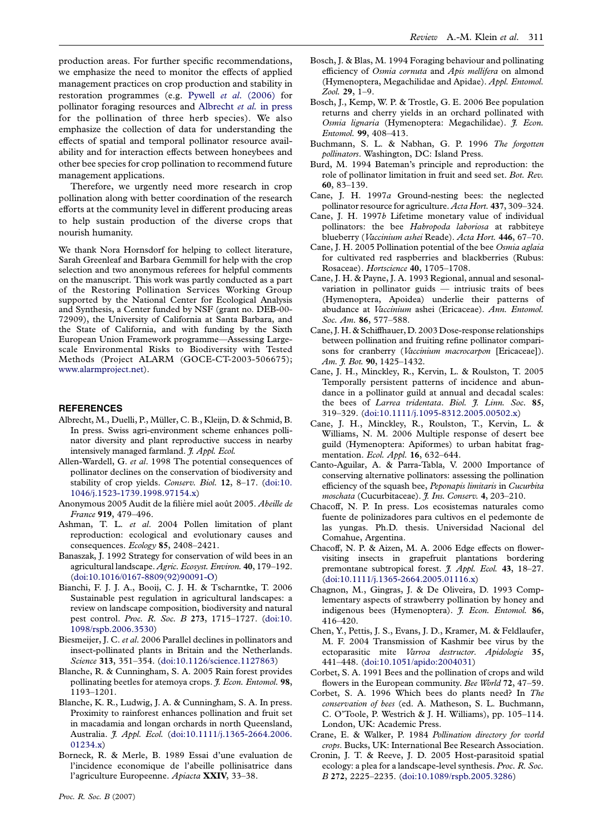<span id="page-8-0"></span>production areas. For further specific recommendations, we emphasize the need to monitor the effects of applied management practices on crop production and stability in restoration programmes (e.g. Pywell et al[. \(2006\)](#page-10-0) for pollinator foraging resources and Albrecht et al. in press for the pollination of three herb species). We also emphasize the collection of data for understanding the effects of spatial and temporal pollinator resource availability and for interaction effects between honeybees and other bee species for crop pollination to recommend future management applications.

Therefore, we urgently need more research in crop pollination along with better coordination of the research efforts at the community level in different producing areas to help sustain production of the diverse crops that nourish humanity.

We thank Nora Hornsdorf for helping to collect literature, Sarah Greenleaf and Barbara Gemmill for help with the crop selection and two anonymous referees for helpful comments on the manuscript. This work was partly conducted as a part of the Restoring Pollination Services Working Group supported by the National Center for Ecological Analysis and Synthesis, a Center funded by NSF (grant no. DEB-00- 72909), the University of California at Santa Barbara, and the State of California, and with funding by the Sixth European Union Framework programme—Assessing Largescale Environmental Risks to Biodiversity with Tested Methods (Project ALARM (GOCE-CT-2003-506675); [www.alarmproject.net\)](http://www.alarmproject.net).

## **REFERENCES**

- Albrecht, M., Duelli, P., Müller, C. B., Kleijn, D. & Schmid, B. In press. Swiss agri-environment scheme enhances pollinator diversity and plant reproductive success in nearby intensively managed farmland. J. Appl. Ecol.
- Allen-Wardell, G. et al. 1998 The potential consequences of pollinator declines on the conservation of biodiversity and stability of crop yields. Conserv. Biol. 12, 8-17. ([doi:10.](http://dx.doi.org/doi:10.1046/j.1523-1739.1998.97154.x) [1046/j.1523-1739.1998.97154.x](http://dx.doi.org/doi:10.1046/j.1523-1739.1998.97154.x))
- Anonymous 2005 Audit de la filière miel août 2005. Abeille de France 919, 479–496.
- Ashman, T. L. et al. 2004 Pollen limitation of plant reproduction: ecological and evolutionary causes and consequences. Ecology 85, 2408–2421.
- Banaszak, J. 1992 Strategy for conservation of wild bees in an agricultural landscape. Agric. Ecosyst. Environ. 40, 179–192. ([doi:10.1016/0167-8809\(92\)90091-O\)](http://dx.doi.org/doi:10.1016/0167-8809(92)90091-O)
- Bianchi, F. J. J. A., Booij, C. J. H. & Tscharntke, T. 2006 Sustainable pest regulation in agricultural landscapes: a review on landscape composition, biodiversity and natural pest control. Proc. R. Soc. B 273, 1715–1727. ([doi:10.](http://dx.doi.org/doi:10.1098/rspb.2006.3530) [1098/rspb.2006.3530](http://dx.doi.org/doi:10.1098/rspb.2006.3530))
- Biesmeijer, J. C. et al. 2006 Parallel declines in pollinators and insect-pollinated plants in Britain and the Netherlands. Science 313, 351–354. ([doi:10.1126/science.1127863\)](http://dx.doi.org/doi:10.1126/science.1127863)
- Blanche, R. & Cunningham, S. A. 2005 Rain forest provides pollinating beetles for atemoya crops. *J. Econ. Entomol.* 98, 1193–1201.
- Blanche, K. R., Ludwig, J. A. & Cunningham, S. A. In press. Proximity to rainforest enhances pollination and fruit set in macadamia and longan orchards in north Queensland, Australia. J. Appl. Ecol. ([doi:10.1111/j.1365-2664.2006.](http://dx.doi.org/doi:10.1111/j.1365-2664.2006.01234.x)  $(01234 x)$
- Borneck, R. & Merle, B. 1989 Essai d'une evaluation de l'incidence economique de l'abeille pollinisatrice dans l'agriculture Europeenne. Apiacta XXIV, 33–38.
- Bosch, J. & Blas, M. 1994 Foraging behaviour and pollinating efficiency of Osmia cornuta and Apis mellifera on almond (Hymenoptera, Megachilidae and Apidae). Appl. Entomol. Zool. 29, 1–9.
- Bosch, J., Kemp, W. P. & Trostle, G. E. 2006 Bee population returns and cherry yields in an orchard pollinated with Osmia lignaria (Hymenoptera: Megachilidae). *J. Econ*. Entomol. 99, 408–413.
- Buchmann, S. L. & Nabhan, G. P. 1996 The forgotten pollinators. Washington, DC: Island Press.
- Burd, M. 1994 Bateman's principle and reproduction: the role of pollinator limitation in fruit and seed set. Bot. Rev. 60, 83–139.
- Cane, J. H. 1997a Ground-nesting bees: the neglected pollinator resource for agriculture. Acta Hort. 437, 309-324.
- Cane, J. H. 1997b Lifetime monetary value of individual pollinators: the bee Habropoda laboriosa at rabbiteye blueberry (Vaccinium ashei Reade). Acta Hort. 446, 67-70.
- Cane, J. H. 2005 Pollination potential of the bee Osmia aglaia for cultivated red raspberries and blackberries (Rubus: Rosaceae). Hortscience 40, 1705–1708.
- Cane, J. H. & Payne, J. A. 1993 Regional, annual and sesonalvariation in pollinator guids — intriusic traits of bees (Hymenoptera, Apoidea) underlie their patterns of abudance at Vaccinium ashei (Ericaceae). Ann. Entomol. Soc. Am. 86, 577–588.
- Cane, J. H. & Schiffhauer, D. 2003 Dose-response relationships between pollination and fruiting refine pollinator comparisons for cranberry (Vaccinium macrocarpon [Ericaceae]). Am. J. Bot. 90, 1425-1432.
- Cane, J. H., Minckley, R., Kervin, L. & Roulston, T. 2005 Temporally persistent patterns of incidence and abundance in a pollinator guild at annual and decadal scales: the bees of Larrea tridentata. Biol. 7. Linn. Soc. 85, 319–329. [\(doi:10.1111/j.1095-8312.2005.00502.x\)](http://dx.doi.org/doi:10.1111/j.1095-8312.2005.00502.x)
- Cane, J. H., Minckley, R., Roulston, T., Kervin, L. & Williams, N. M. 2006 Multiple response of desert bee guild (Hymenoptera: Apiformes) to urban habitat fragmentation. Ecol. Appl. 16, 632–644.
- Canto-Aguilar, A. & Parra-Tabla, V. 2000 Importance of conserving alternative pollinators: assessing the pollination efficiency of the squash bee, Peponapis limitaris in Cucurbita moschata (Cucurbitaceae). J. Ins. Conserv. 4, 203-210.
- Chacoff, N. P. In press. Los ecosistemas naturales como fuente de polinizadores para cultivos en el pedemonte de las yungas. Ph.D. thesis. Universidad Nacional del Comahue, Argentina.
- Chacoff, N. P. & Aizen, M. A. 2006 Edge effects on flowervisiting insects in grapefruit plantations bordering premontane subtropical forest. *J. Appl. Ecol.* 43, 18-27. ([doi:10.1111/j.1365-2664.2005.01116.x\)](http://dx.doi.org/doi:10.1111/j.1365-2664.2005.01116.x)
- Chagnon, M., Gingras, J. & De Oliveira, D. 1993 Complementary aspects of strawberry pollination by honey and indigenous bees (Hymenoptera). *J. Econ. Entomol.* 86, 416–420.
- Chen, Y., Pettis, J. S., Evans, J. D., Kramer, M. & Feldlaufer, M. F. 2004 Transmission of Kashmir bee virus by the ectoparasitic mite Varroa destructor. Apidologie 35, 441–448. [\(doi:10.1051/apido:2004031](http://dx.doi.org/doi:10.1051/apido:2004031))
- Corbet, S. A. 1991 Bees and the pollination of crops and wild flowers in the European community. Bee World 72, 47-59.
- Corbet, S. A. 1996 Which bees do plants need? In The conservation of bees (ed. A. Matheson, S. L. Buchmann, C. O'Toole, P. Westrich & J. H. Williams), pp. 105–114. London, UK: Academic Press.
- Crane, E. & Walker, P. 1984 Pollination directory for world crops. Bucks, UK: International Bee Research Association.
- Cronin, J. T. & Reeve, J. D. 2005 Host-parasitoid spatial ecology: a plea for a landscape-level synthesis. Proc. R. Soc. B 272, 2225–2235. [\(doi:10.1089/rspb.2005.3286\)](http://dx.doi.org/doi:10.1089/rspb.2005.3286)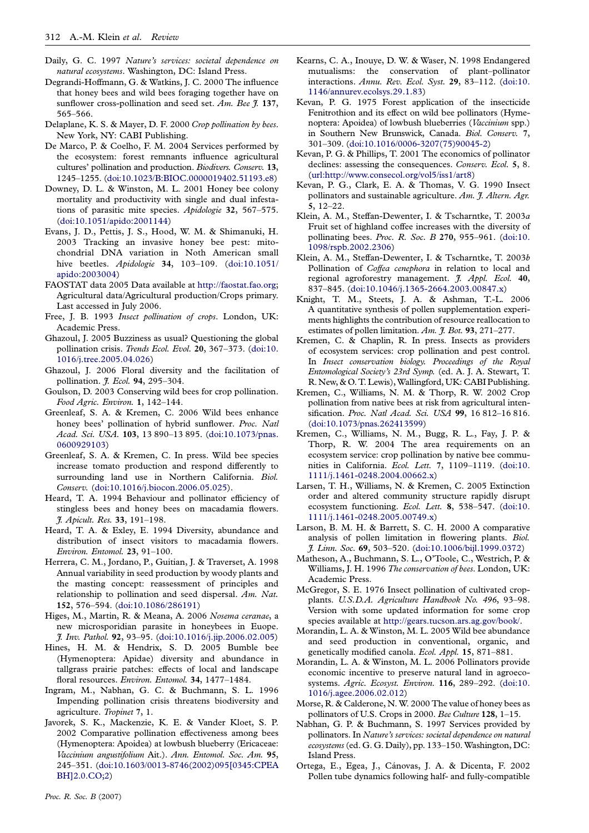- <span id="page-9-0"></span>Daily, G. C. 1997 Nature's services: societal dependence on natural ecosystems. Washington, DC: Island Press.
- Degrandi-Hoffmann, G. & Watkins, J. C. 2000 The influence that honey bees and wild bees foraging together have on sunflower cross-pollination and seed set. Am. Bee  $\tilde{f}$ . 137, 565–566.
- Delaplane, K. S. & Mayer, D. F. 2000 Crop pollination by bees. New York, NY: CABI Publishing.
- De Marco, P. & Coelho, F. M. 2004 Services performed by the ecosystem: forest remnants influence agricultural cultures' pollination and production. Biodivers. Conserv. 13, 1245–1255. [\(doi:10.1023/B:BIOC.0000019402.51193.e8\)](http://dx.doi.org/doi:10.1023/B:BIOC.0000019402.51193.e8)
- Downey, D. L. & Winston, M. L. 2001 Honey bee colony mortality and productivity with single and dual infestations of parasitic mite species. Apidologie 32, 567–575. ([doi:10.1051/apido:2001144\)](http://dx.doi.org/doi:10.1051/apido:2001144)
- Evans, J. D., Pettis, J. S., Hood, W. M. & Shimanuki, H. 2003 Tracking an invasive honey bee pest: mitochondrial DNA variation in Noth American small hive beetles. Apidologie 34, 103-109. ([doi:10.1051/](http://dx.doi.org/doi:10.1051/apido:2003004) [apido:2003004](http://dx.doi.org/doi:10.1051/apido:2003004))
- FAOSTAT data 2005 Data available at [http://faostat.fao.org;](http://faostat.fao.org) Agricultural data/Agricultural production/Crops primary. Last accessed in July 2006.
- Free, J. B. 1993 Insect pollination of crops. London, UK: Academic Press.
- Ghazoul, J. 2005 Buzziness as usual? Questioning the global pollination crisis. Trends Ecol. Evol. 20, 367-373. ([doi:10.](http://dx.doi.org/doi:10.1016/j.tree.2005.04.026) [1016/j.tree.2005.04.026\)](http://dx.doi.org/doi:10.1016/j.tree.2005.04.026)
- Ghazoul, J. 2006 Floral diversity and the facilitation of pollination. *J. Ecol.* 94, 295-304.
- Goulson, D. 2003 Conserving wild bees for crop pollination. Food Agric. Environ. 1, 142–144.
- Greenleaf, S. A. & Kremen, C. 2006 Wild bees enhance honey bees' pollination of hybrid sunflower. Proc. Natl Acad. Sci. USA. 103, 13 890–13 895. [\(doi:10.1073/pnas.](http://dx.doi.org/doi:10.1073/pnas.0600929103) [0600929103\)](http://dx.doi.org/doi:10.1073/pnas.0600929103)
- Greenleaf, S. A. & Kremen, C. In press. Wild bee species increase tomato production and respond differently to surrounding land use in Northern California. Biol. Conserv. ([doi:10.1016/j.biocon.2006.05.025](http://dx.doi.org/doi:10.1016/j.biocon.2006.05.025)).
- Heard, T. A. 1994 Behaviour and pollinator efficiency of stingless bees and honey bees on macadamia flowers. J. Apicult. Res. 33, 191–198.
- Heard, T. A. & Exley, E. 1994 Diversity, abundance and distribution of insect visitors to macadamia flowers. Environ. Entomol. 23, 91–100.
- Herrera, C. M., Jordano, P., Guitian, J. & Traverset, A. 1998 Annual variability in seed production by woody plants and the masting concept: reassessment of principles and relationship to pollination and seed dispersal. Am. Nat. 152, 576–594. ([doi:10.1086/286191](http://dx.doi.org/doi:10.1086/286191))
- Higes, M., Martin, R. & Meana, A. 2006 Nosema ceranae, a new microsporidian parasite in honeybees in Euope. J. Inv. Pathol. 92, 93–95. ([doi:10.1016/j.jip.2006.02.005](http://dx.doi.org/doi:10.1016/j.jip.2006.02.005))
- Hines, H. M. & Hendrix, S. D. 2005 Bumble bee (Hymenoptera: Apidae) diversity and abundance in tallgrass prairie patches: effects of local and landscape floral resources. Environ. Entomol. 34, 1477-1484.
- Ingram, M., Nabhan, G. C. & Buchmann, S. L. 1996 Impending pollination crisis threatens biodiversity and agriculture. Tropinet 7, 1.
- Javorek, S. K., Mackenzie, K. E. & Vander Kloet, S. P. 2002 Comparative pollination effectiveness among bees (Hymenoptera: Apoidea) at lowbush blueberry (Ericaceae: Vaccinium angustifolium Ait.). Ann. Entomol. Soc. Am. 95, 245–351. ([doi:10.1603/0013-8746\(2002\)095\[0345:CPEA](http://dx.doi.org/doi:10.1603/0013-8746(2002)095%5B0345:CPEABH%5D2.0.CO;2) [BH\]2.0.CO;2](http://dx.doi.org/doi:10.1603/0013-8746(2002)095%5B0345:CPEABH%5D2.0.CO;2))
- Kearns, C. A., Inouye, D. W. & Waser, N. 1998 Endangered mutualisms: the conservation of plant–pollinator interactions. Annu. Rev. Ecol. Syst. 29, 83–112. ([doi:10.](http://dx.doi.org/doi:10.1146/annurev.ecolsys.29.1.83) [1146/annurev.ecolsys.29.1.83\)](http://dx.doi.org/doi:10.1146/annurev.ecolsys.29.1.83)
- Kevan, P. G. 1975 Forest application of the insecticide Fenitrothion and its effect on wild bee pollinators (Hymenoptera: Apoidea) of lowbush blueberries (Vaccinium spp.) in Southern New Brunswick, Canada. Biol. Conserv. 7, 301–309. [\(doi:10.1016/0006-3207\(75\)90045-2\)](http://dx.doi.org/doi:10.1016/0006-3207(75)90045-2)
- Kevan, P. G. & Phillips, T. 2001 The economics of pollinator declines: assessing the consequences. Conserv. Ecol. 5, 8. ([url:http://www.consecol.org/vol5/iss1/art8\)](http://www.consecol.org/vol5/iss1/art8)
- Kevan, P. G., Clark, E. A. & Thomas, V. G. 1990 Insect pollinators and sustainable agriculture. Am. J. Altern. Agr. 5, 12–22.
- Klein, A. M., Steffan-Dewenter, I. & Tscharntke, T. 2003a Fruit set of highland coffee increases with the diversity of pollinating bees. Proc. R. Soc. B 270, 955–961. ([doi:10.](http://dx.doi.org/doi:10.1098/rspb.2002.2306) [1098/rspb.2002.2306](http://dx.doi.org/doi:10.1098/rspb.2002.2306))
- Klein, A. M., Steffan-Dewenter, I. & Tscharntke, T. 2003b Pollination of Coffea cenephora in relation to local and regional agroforestry management. *J. Appl. Ecol.* 40, 837–845. [\(doi:10.1046/j.1365-2664.2003.00847.x\)](http://dx.doi.org/doi:10.1046/j.1365-2664.2003.00847.x)
- Knight, T. M., Steets, J. A. & Ashman, T.-L. 2006 A quantitative synthesis of pollen supplementation experiments highlights the contribution of resource reallocation to estimates of pollen limitation. Am.  $\ddot{f}$ . Bot. 93, 271–277.
- Kremen, C. & Chaplin, R. In press. Insects as providers of ecosystem services: crop pollination and pest control. In Insect conservation biology. Proceedings of the Royal Entomological Society's 23rd Symp. (ed. A. J. A. Stewart, T. R. New, & O. T. Lewis), Wallingford, UK: CABI Publishing.
- Kremen, C., Williams, N. M. & Thorp, R. W. 2002 Crop pollination from native bees at risk from agricultural intensification. Proc. Natl Acad. Sci. USA 99, 16 812-16 816. ([doi:10.1073/pnas.262413599](http://dx.doi.org/doi:10.1073/pnas.262413599))
- Kremen, C., Williams, N. M., Bugg, R. L., Fay, J. P. & Thorp, R. W. 2004 The area requirements on an ecosystem service: crop pollination by native bee communities in California. Ecol. Lett. 7, 1109–1119. ([doi:10.](http://dx.doi.org/doi:10.1111/j.1461-0248.2004.00662.x) [1111/j.1461-0248.2004.00662.x](http://dx.doi.org/doi:10.1111/j.1461-0248.2004.00662.x))
- Larsen, T. H., Williams, N. & Kremen, C. 2005 Extinction order and altered community structure rapidly disrupt ecosystem functioning. Ecol. Lett. 8, 538–547. ([doi:10.](http://dx.doi.org/doi:10.1111/j.1461-0248.2005.00749.x) [1111/j.1461-0248.2005.00749.x](http://dx.doi.org/doi:10.1111/j.1461-0248.2005.00749.x))
- Larson, B. M. H. & Barrett, S. C. H. 2000 A comparative analysis of pollen limitation in flowering plants. Biol. J. Linn. Soc. 69, 503–520. ([doi:10.1006/bijl.1999.0372\)](http://dx.doi.org/doi:10.1006/bijl.1999.0372)
- Matheson, A., Buchmann, S. L., O'Toole, C., Westrich, P. & Williams, J. H. 1996 The conservation of bees. London, UK: Academic Press.
- McGregor, S. E. 1976 Insect pollination of cultivated cropplants. U.S.D.A. Agriculture Handbook No. 496, 93–98. Version with some updated information for some crop species available at <http://gears.tucson.ars.ag.gov/book/>.
- Morandin, L. A. & Winston, M. L. 2005 Wild bee abundance and seed production in conventional, organic, and genetically modified canola. Ecol. Appl. 15, 871–881.
- Morandin, L. A. & Winston, M. L. 2006 Pollinators provide economic incentive to preserve natural land in agroecosystems. Agric. Ecosyst. Environ. 116, 289–292. ([doi:10.](http://dx.doi.org/doi:10.1016/j.agee.2006.02.012) [1016/j.agee.2006.02.012](http://dx.doi.org/doi:10.1016/j.agee.2006.02.012))
- Morse, R. & Calderone, N. W. 2000 The value of honey bees as pollinators of U.S. Crops in 2000. Bee Culture 128, 1-15.
- Nabhan, G. P. & Buchmann, S. 1997 Services provided by pollinators. In Nature's services: societal dependence on natural ecosystems (ed. G. G. Daily), pp. 133-150. Washington, DC: Island Press.
- Ortega, E., Egea, J., Cánovas, J. A. & Dicenta, F. 2002 Pollen tube dynamics following half- and fully-compatible